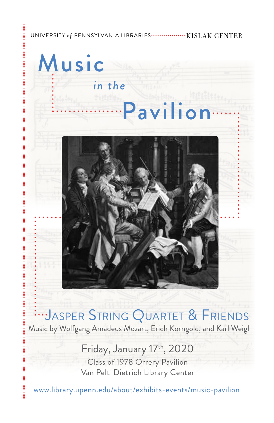#### UNIVERSITY *of* PENNSYLVANIA LIBRARIES KISLAK CENTER

..... Pavilion

*in the* 

Music

JASPER STRING QUARTET & FRIENDS

Music by Wolfgang Amadeus Mozart, Erich Korngold, and Karl Weigl

# Friday, January 17th, 2020

Class of 1978 Orrery Pavilion Van Pelt-Dietrich Library Center

<www.library.upenn.edu/about/exhibits-events/music-pavilion>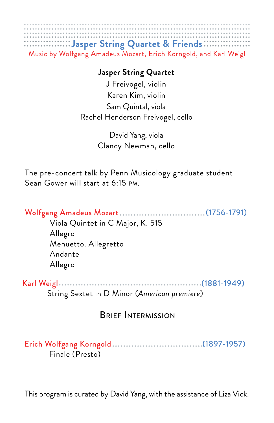

## **Jasper String Quartet**

J Freivogel, violin Karen Kim, violin Sam Quintal, viola Rachel Henderson Freivogel, cello

> David Yang, viola Clancy Newman, cello

The pre-concert talk by Penn Musicology graduate student Sean Gower will start at 6:15 PM.

 Wolfgang Amadeus Mozart .........

> Viola Quintet in C Major, K. 515 Allegro Menuetto. Allegretto Andante Allegro

Karl Weigl (1881-1949) String Sextet in D Minor (*American premiere*)

# BRIEF INTERMISSION

 Erich Wolfgang Korngold (1897-1957) Finale (Presto)

This program is curated by David Yang, with the assistance of Liza Vick.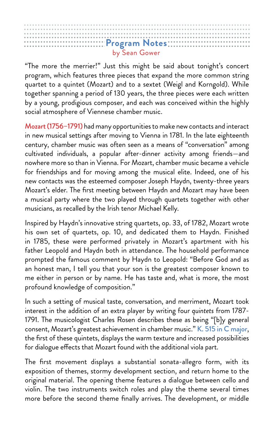|  | Program Notes: |  |  |  |  |  |  |  |  |  |  |  |  |  |  |  |  |  |               |  |  |  |  |  |  |  |  |  |  |  |  |  |  |  |  |
|--|----------------|--|--|--|--|--|--|--|--|--|--|--|--|--|--|--|--|--|---------------|--|--|--|--|--|--|--|--|--|--|--|--|--|--|--|--|
|  |                |  |  |  |  |  |  |  |  |  |  |  |  |  |  |  |  |  |               |  |  |  |  |  |  |  |  |  |  |  |  |  |  |  |  |
|  |                |  |  |  |  |  |  |  |  |  |  |  |  |  |  |  |  |  | by Sean Gower |  |  |  |  |  |  |  |  |  |  |  |  |  |  |  |  |

"The more the merrier!" Just this might be said about tonight's concert program, which features three pieces that expand the more common string quartet to a quintet (Mozart) and to a sextet (Weigl and Korngold). While together spanning a period of 130 years, the three pieces were each written by a young, prodigious composer, and each was conceived within the highly social atmosphere of Viennese chamber music.

Mozart (1756–1791) had many opportunities to make new contacts and interact in new musical settings after moving to Vienna in 1781. In the late eighteenth century, chamber music was often seen as a means of "conversation" among cultivated individuals, a popular after-dinner activity among friends—and nowhere more so than in Vienna. For Mozart, chamber music became a vehicle for friendships and for moving among the musical elite. Indeed, one of his new contacts was the esteemed composer Joseph Haydn, twenty-three years Mozart's elder. The frst meeting between Haydn and Mozart may have been a musical party where the two played through quartets together with other musicians, as recalled by the Irish tenor Michael Kelly.

Inspired by Haydn's innovative string quartets, op. 33, of 1782, Mozart wrote his own set of quartets, op. 10, and dedicated them to Haydn. Finished in 1785, these were performed privately in Mozart's apartment with his father Leopold and Haydn both in attendance. The household performance prompted the famous comment by Haydn to Leopold: "Before God and as an honest man, I tell you that your son is the greatest composer known to me either in person or by name. He has taste and, what is more, the most profound knowledge of composition."

In such a setting of musical taste, conversation, and merriment, Mozart took interest in the addition of an extra player by writing four *quintets* from 1787- 1791. The musicologist Charles Rosen describes these as being "[b]y general consent, Mozart's greatest achievement in chamber music." K. 515 in C major, the frst of these quintets, displays the warm texture and increased possibilities for dialogue effects that Mozart found with the additional viola part.

The frst movement displays a substantial sonata-allegro form, with its exposition of themes, stormy development section, and return home to the original material. The opening theme features a dialogue between cello and violin. The two instruments switch roles and play the theme several times more before the second theme fnally arrives. The development, or middle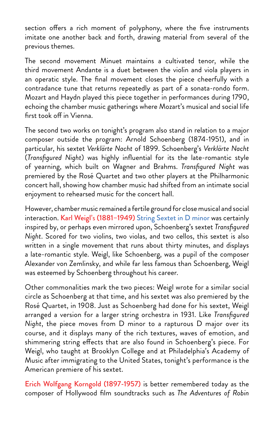section offers a rich moment of polyphony, where the five instruments imitate one another back and forth, drawing material from several of the previous themes.

The second movement Minuet maintains a cultivated tenor, while the third movement Andante is a duet between the violin and viola players in an operatic style. The fnal movement closes the piece cheerfully with a contradance tune that returns repeatedly as part of a sonata-rondo form. Mozart and Haydn played this piece together in performances during 1790, echoing the chamber music gatherings where Mozart's musical and social life first took off in Vienna.

The second two works on tonight's program also stand in relation to a major composer outside the program: Arnold Schoenberg (1874-1951), and in particular, his sextet *Verklärte Nacht* of 1899. Schoenberg's *Verklärte Nacht*  (*Transfgured Night*) was highly infuential for its the late-romantic style of yearning, which built on Wagner and Brahms. *Transfgured Night* was premiered by the Rosé Quartet and two other players at the Philharmonic concert hall, showing how chamber music had shifted from an intimate social enjoyment to rehearsed music for the concert hall.

However, chamber music remained a fertile ground for close musical and social interaction. Karl Weigl's (1881–1949) String Sextet in D minor was certainly inspired by, or perhaps even mirrored upon, Schoenberg's sextet *Transfgured Night*. Scored for two violins, two violas, and two cellos, this sextet is also written in a single movement that runs about thirty minutes, and displays a late-romantic style. Weigl, like Schoenberg, was a pupil of the composer Alexander von Zemlinsky, and while far less famous than Schoenberg, Weigl was esteemed by Schoenberg throughout his career.

Other commonalities mark the two pieces: Weigl wrote for a similar social circle as Schoenberg at that time, and his sextet was also premiered by the Rosé Quartet, in 1908. Just as Schoenberg had done for his sextet, Weigl arranged a version for a larger string orchestra in 1931. Like *Transfgured Night*, the piece moves from D minor to a rapturous D major over its course, and it displays many of the rich textures, waves of emotion, and shimmering string efects that are also found in Schoenberg's piece. For Weigl, who taught at Brooklyn College and at Philadelphia's Academy of Music after immigrating to the United States, tonight's performance is the American premiere of his sextet.

Erich Wolfgang Korngold (1897-1957) is better remembered today as the composer of Hollywood flm soundtracks such as *The Adventures of Robin*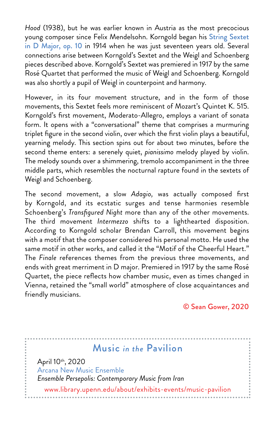*Hood* (1938), but he was earlier known in Austria as the most precocious young composer since Felix Mendelsohn. Korngold began his String Sextet in D Major, op. 10 in 1914 when he was just seventeen years old. Several connections arise between Korngold's Sextet and the Weigl and Schoenberg pieces described above. Korngold's Sextet was premiered in 1917 by the same Rosé Quartet that performed the music of Weigl and Schoenberg. Korngold was also shortly a pupil of Weigl in counterpoint and harmony.

However, in its four movement structure, and in the form of those movements, this Sextet feels more reminiscent of Mozart's Quintet K. 515. Korngold's frst movement, Moderato-Allegro, employs a variant of sonata form. It opens with a "conversational" theme that comprises a murmuring triplet fgure in the second violin, over which the frst violin plays a beautiful, yearning melody. This section spins out for about two minutes, before the second theme enters: a serenely quiet, *pianissimo* melody played by violin. The melody sounds over a shimmering, tremolo accompaniment in the three middle parts, which resembles the nocturnal rapture found in the sextets of Weigl and Schoenberg.

The second movement, a slow *Adagio,* was actually composed frst by Korngold, and its ecstatic surges and tense harmonies resemble Schoenberg's *Transfgured Night* more than any of the other movements. The third movement *Intermezzo* shifts to a lighthearted disposition. According to Korngold scholar Brendan Carroll, this movement begins with a motif that the composer considered his personal motto. He used the same motif in other works, and called it the "Motif of the Cheerful Heart." The *Finale* references themes from the previous three movements, and ends with great merriment in D major. Premiered in 1917 by the same Rosé Quartet, the piece reflects how chamber music, even as times changed in Vienna, retained the "small world" atmosphere of close acquaintances and friendly musicians.

### © Sean Gower, 2020

# Music *in the* Pavilion

April 10<sup>th</sup>, 2020 Arcana New Music Ensemble *Ensemble Persepolis: Contemporary Music from Iran* 

<www.library.upenn.edu/about/exhibits-events/music-pavilion>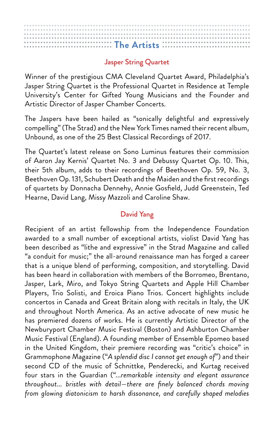## Jasper String Quartet

Winner of the prestigious CMA Cleveland Quartet Award, Philadelphia's Jasper String Quartet is the Professional Quartet in Residence at Temple University's Center for Gifted Young Musicians and the Founder and Artistic Director of Jasper Chamber Concerts.

The Jaspers have been hailed as "sonically delightful and expressively compelling" (The Strad) and the New York Times named their recent album, Unbound, as one of the 25 Best Classical Recordings of 2017.

The Quartet's latest release on Sono Luminus features their commission of Aaron Jay Kernis' Quartet No. 3 and Debussy Quartet Op. 10. This, their 5th album, adds to their recordings of Beethoven Op. 59, No. 3, Beethoven Op. 131, Schubert Death and the Maiden and the frst recordings of quartets by Donnacha Dennehy, Annie Gosfeld, Judd Greenstein, Ted Hearne, David Lang, Missy Mazzoli and Caroline Shaw.

# David Yang

 *from glowing diatonicism to harsh dissonance, and carefully shaped melodies* Recipient of an artist fellowship from the Independence Foundation awarded to a small number of exceptional artists, violist David Yang has been described as "lithe and expressive" in the Strad Magazine and called "a conduit for music;" the all-around renaissance man has forged a career that is a unique blend of performing, composition, and storytelling. David has been heard in collaboration with members of the Borromeo, Brentano, Jasper, Lark, Miro, and Tokyo String Quartets and Apple Hill Chamber Players, Trio Solisti, and Eroica Piano Trios. Concert highlights include concertos in Canada and Great Britain along with recitals in Italy, the UK and throughout North America. As an active advocate of new music he has premiered dozens of works. He is currently Artistic Director of the Newburyport Chamber Music Festival (Boston) and Ashburton Chamber Music Festival (England). A founding member of Ensemble Epomeo based in the United Kingdom, their premiere recording was "critic's choice" in Grammophone Magazine ("*A splendid disc I cannot get enough of*") and their second CD of the music of Schnittke, Penderecki, and Kurtag received four stars in the Guardian ("...*remarkable intensity and elegant assurance throughout... bristles with detail—there are fnely balanced chords moving*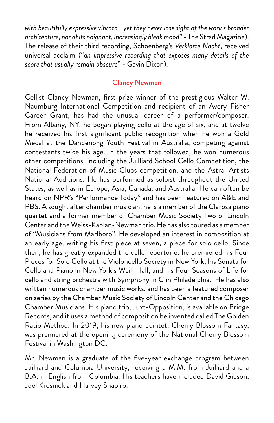*with beautifully expressive vibrato—yet they never lose sight of the work's broader architecture, nor of its poignant, increasingly bleak mood*" - The Strad Magazine). The release of their third recording, Schoenberg's *Verklarte Nacht*, received universal acclaim ("*an impressive recording that exposes many details of the score that usually remain obscure*" - Gavin Dixon).

### Clancy Newman

Cellist Clancy Newman, frst prize winner of the prestigious Walter W. Naumburg International Competition and recipient of an Avery Fisher Career Grant, has had the unusual career of a performer/composer. From Albany, NY, he began playing cello at the age of six, and at twelve he received his frst signifcant public recognition when he won a Gold Medal at the Dandenong Youth Festival in Australia, competing against contestants twice his age. In the years that followed, he won numerous other competitions, including the Juilliard School Cello Competition, the National Federation of Music Clubs competition, and the Astral Artists National Auditions. He has performed as soloist throughout the United States, as well as in Europe, Asia, Canada, and Australia. He can often be heard on NPR's "Performance Today" and has been featured on A&E and PBS. A sought after chamber musician, he is a member of the Clarosa piano quartet and a former member of Chamber Music Society Two of Lincoln Center and the Weiss-Kaplan-Newman trio. He has also toured as a member of "Musicians from Marlboro". He developed an interest in composition at an early age, writing his frst piece at seven, a piece for solo cello. Since then, he has greatly expanded the cello repertoire: he premiered his Four Pieces for Solo Cello at the Violoncello Society in New York, his Sonata for Cello and Piano in New York's Weill Hall, and his Four Seasons of Life for cello and string orchestra with Symphony in C in Philadelphia. He has also written numerous chamber music works, and has been a featured composer on series by the Chamber Music Society of Lincoln Center and the Chicago Chamber Musicians. His piano trio, Juxt-Opposition, is available on Bridge Records, and it uses a method of composition he invented called The Golden Ratio Method. In 2019, his new piano quintet, Cherry Blossom Fantasy, was premiered at the opening ceremony of the National Cherry Blossom Festival in Washington DC.

Mr. Newman is a graduate of the fve-year exchange program between Juilliard and Columbia University, receiving a M.M. from Juilliard and a B.A. in English from Columbia. His teachers have included David Gibson, Joel Krosnick and Harvey Shapiro.